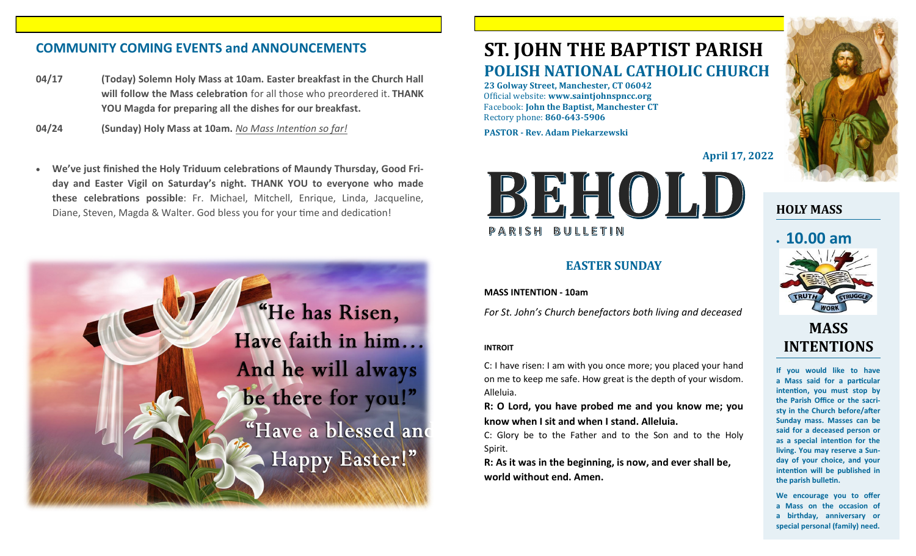# **COMMUNITY COMING EVENTS and ANNOUNCEMENTS ST. JOHN THE BAPTIST PARISH**

- **04/17 (Today) Solemn Holy Mass at 10am. Easter breakfast in the Church Hall will follow the Mass celebration** for all those who preordered it. **THANK YOU Magda for preparing all the dishes for our breakfast.**
- **04/24 (Sunday) Holy Mass at 10am.** *No Mass Intention so far!*
- **We've just finished the Holy Triduum celebrations of Maundy Thursday, Good Friday and Easter Vigil on Saturday's night. THANK YOU to everyone who made these celebrations possible**: Fr. Michael, Mitchell, Enrique, Linda, Jacqueline, Diane, Steven, Magda & Walter. God bless you for your time and dedication!



# **POLISH NATIONAL CATHOLIC CHURCH**

**23 Golway Street, Manchester, CT 06042** Official website: **www.saintjohnspncc.org** Facebook: **John the Baptist, Manchester CT** Rectory phone: **860-643-5906** 

**PASTOR - Rev. Adam Piekarzewski**

**April 17, 2022**



# **EASTER SUNDAY**

**MASS INTENTION - 10am**

*For St. John's Church benefactors both living and deceased*

### **INTROIT**

C: I have risen: I am with you once more; you placed your hand on me to keep me safe. How great is the depth of your wisdom. Alleluia.

**R: O Lord, you have probed me and you know me; you know when I sit and when I stand. Alleluia.**

C: Glory be to the Father and to the Son and to the Holy Spirit.

**R: As it was in the beginning, is now, and ever shall be, world without end. Amen.**



**HOLY MASS**

# • **10.00 am**



# **MASS INTENTIONS**

**If you would like to have a Mass said for a particular intention, you must stop by the Parish Office or the sacristy in the Church before/after Sunday mass. Masses can be said for a deceased person or as a special intention for the living. You may reserve a Sunday of your choice, and your intention will be published in the parish bulletin.**

**We encourage you to offer a Mass on the occasion of a birthday, anniversary or special personal (family) need.**